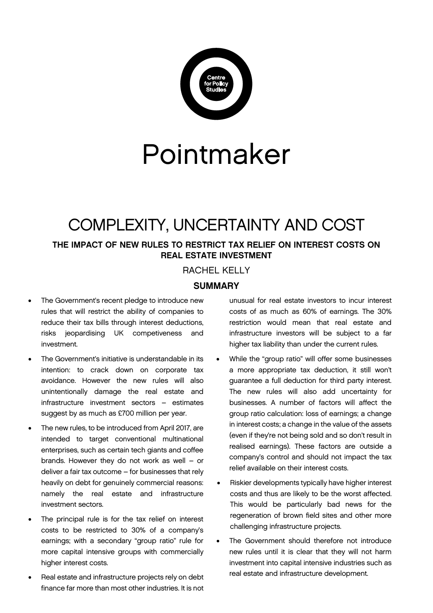

# Pointmaker

# COMPLEXITY, UNCERTAINTY AND COST

# THE IMPACT OF NEW RULES TO RESTRICT TAX RELIEF ON INTEREST COSTS ON REAL ESTATE INVESTMENT

# RACHEL KELLY

### **SUMMARY**

- The Government's recent pledge to introduce new rules that will restrict the ability of companies to reduce their tax bills through interest deductions, risks jeopardising UK competiveness and investment.
- The Government's initiative is understandable in its intention: to crack down on corporate tax avoidance. However the new rules will also unintentionally damage the real estate and infrastructure investment sectors – estimates suggest by as much as £700 million per year.
- The new rules, to be introduced from April 2017, are intended to target conventional multinational enterprises, such as certain tech giants and coffee brands. However they do not work as well – or deliver a fair tax outcome – for businesses that rely heavily on debt for genuinely commercial reasons: namely the real estate and infrastructure investment sectors.
- The principal rule is for the tax relief on interest costs to be restricted to 30% of a company's earnings; with a secondary "group ratio" rule for more capital intensive groups with commercially higher interest costs.
- Real estate and infrastructure projects rely on debt finance far more than most other industries. It is not

unusual for real estate investors to incur interest costs of as much as 60% of earnings. The 30% restriction would mean that real estate and infrastructure investors will be subject to a far higher tax liability than under the current rules.

- While the "group ratio" will offer some businesses a more appropriate tax deduction, it still won't guarantee a full deduction for third party interest. The new rules will also add uncertainty for businesses. A number of factors will affect the group ratio calculation: loss of earnings; a change in interest costs; a change in the value of the assets (even if they're not being sold and so don't result in realised earnings). These factors are outside a company's control and should not impact the tax relief available on their interest costs.
- Riskier developments typically have higher interest costs and thus are likely to be the worst affected. This would be particularly bad news for the regeneration of brown field sites and other more challenging infrastructure projects.
- The Government should therefore not introduce new rules until it is clear that they will not harm investment into capital intensive industries such as real estate and infrastructure development.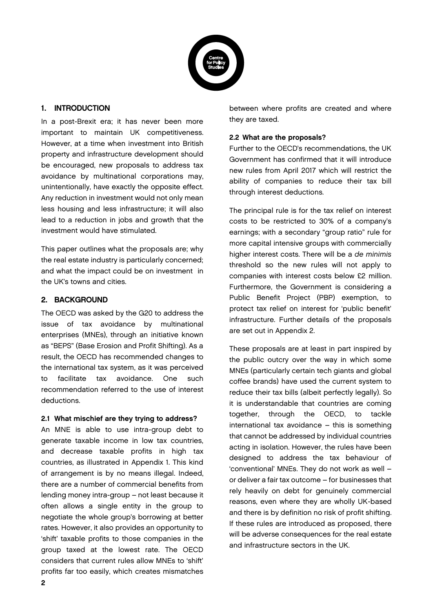

#### 1. INTRODUCTION

In a post-Brexit era; it has never been more important to maintain UK competitiveness. However, at a time when investment into British property and infrastructure development should be encouraged, new proposals to address tax avoidance by multinational corporations may, unintentionally, have exactly the opposite effect. Any reduction in investment would not only mean less housing and less infrastructure; it will also lead to a reduction in jobs and growth that the investment would have stimulated.

This paper outlines what the proposals are; why the real estate industry is particularly concerned; and what the impact could be on investment in the UK's towns and cities.

#### 2. BACKGROUND

The OECD was asked by the G20 to address the issue of tax avoidance by multinational enterprises (MNEs), through an initiative known as "BEPS" (Base Erosion and Profit Shifting). As a result, the OECD has recommended changes to the international tax system, as it was perceived to facilitate tax avoidance. One such recommendation referred to the use of interest deductions.

#### 2.1 What mischief are they trying to address?

An MNE is able to use intra-group debt to generate taxable income in low tax countries, and decrease taxable profits in high tax countries, as illustrated in Appendix 1. This kind of arrangement is by no means illegal. Indeed, there are a number of commercial benefits from lending money intra-group – not least because it often allows a single entity in the group to negotiate the whole group's borrowing at better rates. However, it also provides an opportunity to 'shift' taxable profits to those companies in the group taxed at the lowest rate. The OECD considers that current rules allow MNEs to 'shift' profits far too easily, which creates mismatches

between where profits are created and where they are taxed.

#### 2.2 What are the proposals?

Further to the OECD's recommendations, the UK Government has confirmed that it will introduce new rules from April 2017 which will restrict the ability of companies to reduce their tax bill through interest deductions.

The principal rule is for the tax relief on interest costs to be restricted to 30% of a company's earnings; with a secondary "group ratio" rule for more capital intensive groups with commercially higher interest costs. There will be a de minimis threshold so the new rules will not apply to companies with interest costs below £2 million. Furthermore, the Government is considering a Public Benefit Project (PBP) exemption, to protect tax relief on interest for 'public benefit' infrastructure. Further details of the proposals are set out in Appendix 2.

These proposals are at least in part inspired by the public outcry over the way in which some MNEs (particularly certain tech giants and global coffee brands) have used the current system to reduce their tax bills (albeit perfectly legally). So it is understandable that countries are coming together, through the OECD, to tackle international tax avoidance – this is something that cannot be addressed by individual countries acting in isolation. However, the rules have been designed to address the tax behaviour of 'conventional' MNEs. They do not work as well – or deliver a fair tax outcome – for businesses that rely heavily on debt for genuinely commercial reasons, even where they are wholly UK-based and there is by definition no risk of profit shifting. If these rules are introduced as proposed, there will be adverse consequences for the real estate and infrastructure sectors in the UK.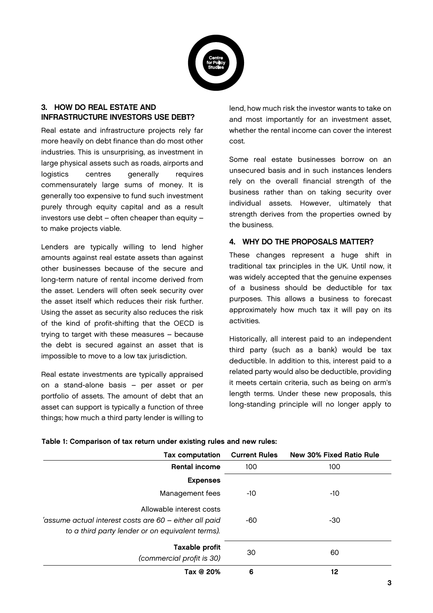

#### 3. HOW DO REAL ESTATE AND INFRASTRUCTURE INVESTORS USE DEBT?

Real estate and infrastructure projects rely far more heavily on debt finance than do most other industries. This is unsurprising, as investment in large physical assets such as roads, airports and logistics centres generally requires commensurately large sums of money. It is generally too expensive to fund such investment purely through equity capital and as a result investors use debt – often cheaper than equity – to make projects viable.

Lenders are typically willing to lend higher amounts against real estate assets than against other businesses because of the secure and long-term nature of rental income derived from the asset. Lenders will often seek security over the asset itself which reduces their risk further. Using the asset as security also reduces the risk of the kind of profit-shifting that the OECD is trying to target with these measures – because the debt is secured against an asset that is impossible to move to a low tax jurisdiction.

Real estate investments are typically appraised on a stand-alone basis – per asset or per portfolio of assets. The amount of debt that an asset can support is typically a function of three things; how much a third party lender is willing to

lend, how much risk the investor wants to take on and most importantly for an investment asset, whether the rental income can cover the interest cost.

Some real estate businesses borrow on an unsecured basis and in such instances lenders rely on the overall financial strength of the business rather than on taking security over individual assets. However, ultimately that strength derives from the properties owned by the business.

#### 4. WHY DO THE PROPOSALS MATTER?

These changes represent a huge shift in traditional tax principles in the UK. Until now, it was widely accepted that the genuine expenses of a business should be deductible for tax purposes. This allows a business to forecast approximately how much tax it will pay on its activities.

Historically, all interest paid to an independent third party (such as a bank) would be tax deductible. In addition to this, interest paid to a related party would also be deductible, providing it meets certain criteria, such as being on arm's length terms. Under these new proposals, this long-standing principle will no longer apply to

| <b>Tax computation</b>                                                                                                                 | <b>Current Rules</b> | <b>New 30% Fixed Ratio Rule</b> |
|----------------------------------------------------------------------------------------------------------------------------------------|----------------------|---------------------------------|
| <b>Rental income</b>                                                                                                                   | 100                  | 100                             |
| <b>Expenses</b>                                                                                                                        |                      |                                 |
| Management fees                                                                                                                        | -10                  | -10                             |
| Allowable interest costs<br>'assume actual interest costs are 60 - either all paid<br>to a third party lender or on equivalent terms). | -60                  | -30                             |
| Taxable profit<br>(commercial profit is 30)                                                                                            | 30                   | 60                              |
| Tax @ 20%                                                                                                                              | 6                    | 12                              |

Table 1: Comparison of tax return under existing rules and new rules: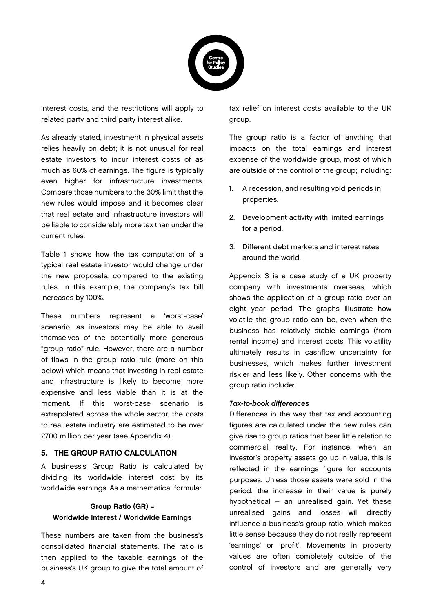

interest costs, and the restrictions will apply to related party and third party interest alike.

As already stated, investment in physical assets relies heavily on debt; it is not unusual for real estate investors to incur interest costs of as much as 60% of earnings. The figure is typically even higher for infrastructure investments. Compare those numbers to the 30% limit that the new rules would impose and it becomes clear that real estate and infrastructure investors will be liable to considerably more tax than under the current rules.

Table 1 shows how the tax computation of a typical real estate investor would change under the new proposals, compared to the existing rules. In this example, the company's tax bill increases by 100%.

These numbers represent a 'worst-case' scenario, as investors may be able to avail themselves of the potentially more generous "group ratio" rule. However, there are a number of flaws in the group ratio rule (more on this below) which means that investing in real estate and infrastructure is likely to become more expensive and less viable than it is at the moment. If this worst-case scenario is extrapolated across the whole sector, the costs to real estate industry are estimated to be over £700 million per year (see Appendix 4).

#### 5. THE GROUP RATIO CALCULATION

A business's Group Ratio is calculated by dividing its worldwide interest cost by its worldwide earnings. As a mathematical formula:

# Group Ratio (GR) = Worldwide Interest / Worldwide Earnings

These numbers are taken from the business's consolidated financial statements. The ratio is then applied to the taxable earnings of the business's UK group to give the total amount of tax relief on interest costs available to the UK group.

The group ratio is a factor of anything that impacts on the total earnings and interest expense of the worldwide group, most of which are outside of the control of the group; including:

- 1. A recession, and resulting void periods in properties.
- 2. Development activity with limited earnings for a period.
- 3. Different debt markets and interest rates around the world.

Appendix 3 is a case study of a UK property company with investments overseas, which shows the application of a group ratio over an eight year period. The graphs illustrate how volatile the group ratio can be, even when the business has relatively stable earnings (from rental income) and interest costs. This volatility ultimately results in cashflow uncertainty for businesses, which makes further investment riskier and less likely. Other concerns with the group ratio include:

#### Tax-to-book differences

Differences in the way that tax and accounting figures are calculated under the new rules can give rise to group ratios that bear little relation to commercial reality. For instance, when an investor's property assets go up in value, this is reflected in the earnings figure for accounts purposes. Unless those assets were sold in the period, the increase in their value is purely hypothetical – an unrealised gain. Yet these unrealised gains and losses will directly influence a business's group ratio, which makes little sense because they do not really represent 'earnings' or 'profit'. Movements in property values are often completely outside of the control of investors and are generally very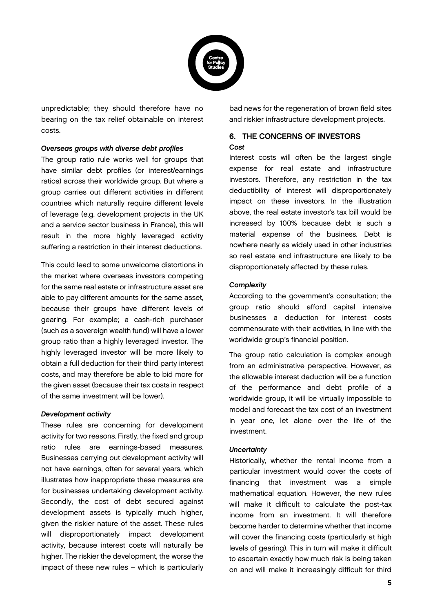

unpredictable; they should therefore have no bearing on the tax relief obtainable on interest costs.

#### Overseas groups with diverse debt profiles

The group ratio rule works well for groups that have similar debt profiles (or interest/earnings ratios) across their worldwide group. But where a group carries out different activities in different countries which naturally require different levels of leverage (e.g. development projects in the UK and a service sector business in France), this will result in the more highly leveraged activity suffering a restriction in their interest deductions.

This could lead to some unwelcome distortions in the market where overseas investors competing for the same real estate or infrastructure asset are able to pay different amounts for the same asset, because their groups have different levels of gearing. For example; a cash-rich purchaser (such as a sovereign wealth fund) will have a lower group ratio than a highly leveraged investor. The highly leveraged investor will be more likely to obtain a full deduction for their third party interest costs, and may therefore be able to bid more for the given asset (because their tax costs in respect of the same investment will be lower).

#### Development activity

These rules are concerning for development activity for two reasons. Firstly, the fixed and group ratio rules are earnings-based measures. Businesses carrying out development activity will not have earnings, often for several years, which illustrates how inappropriate these measures are for businesses undertaking development activity. Secondly, the cost of debt secured against development assets is typically much higher, given the riskier nature of the asset. These rules will disproportionately impact development activity, because interest costs will naturally be higher. The riskier the development, the worse the impact of these new rules – which is particularly bad news for the regeneration of brown field sites and riskier infrastructure development projects.

#### 6. THE CONCERNS OF INVESTORS **Cost**

Interest costs will often be the largest single expense for real estate and infrastructure investors. Therefore, any restriction in the tax deductibility of interest will disproportionately impact on these investors. In the illustration above, the real estate investor's tax bill would be increased by 100% because debt is such a material expense of the business. Debt is nowhere nearly as widely used in other industries so real estate and infrastructure are likely to be disproportionately affected by these rules.

#### **Complexity**

According to the government's consultation; the group ratio should afford capital intensive businesses a deduction for interest costs commensurate with their activities, in line with the worldwide group's financial position.

The group ratio calculation is complex enough from an administrative perspective. However, as the allowable interest deduction will be a function of the performance and debt profile of a worldwide group, it will be virtually impossible to model and forecast the tax cost of an investment in year one, let alone over the life of the investment.

#### **Uncertainty**

Historically, whether the rental income from a particular investment would cover the costs of financing that investment was a simple mathematical equation. However, the new rules will make it difficult to calculate the post-tax income from an investment. It will therefore become harder to determine whether that income will cover the financing costs (particularly at high levels of gearing). This in turn will make it difficult to ascertain exactly how much risk is being taken on and will make it increasingly difficult for third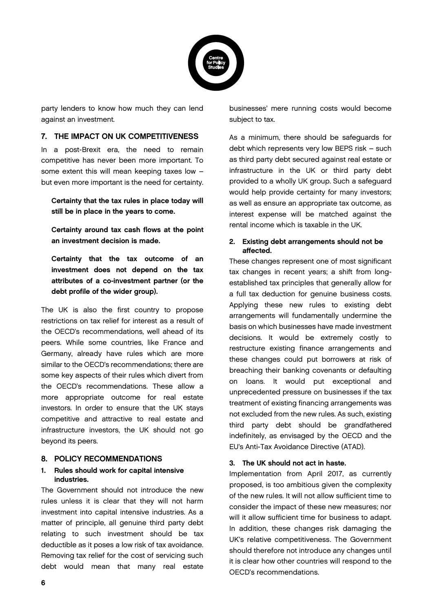

party lenders to know how much they can lend against an investment.

#### 7. THE IMPACT ON UK COMPETITIVENESS

In a post-Brexit era, the need to remain competitive has never been more important. To some extent this will mean keeping taxes low – but even more important is the need for certainty.

Certainty that the tax rules in place today will still be in place in the years to come.

Certainty around tax cash flows at the point an investment decision is made.

Certainty that the tax outcome of an investment does not depend on the tax attributes of a co-investment partner (or the debt profile of the wider group).

The UK is also the first country to propose restrictions on tax relief for interest as a result of the OECD's recommendations, well ahead of its peers. While some countries, like France and Germany, already have rules which are more similar to the OECD's recommendations; there are some key aspects of their rules which divert from the OECD's recommendations. These allow a more appropriate outcome for real estate investors. In order to ensure that the UK stays competitive and attractive to real estate and infrastructure investors, the UK should not go beyond its peers.

#### 8. POLICY RECOMMENDATIONS

#### 1. Rules should work for capital intensive industries.

The Government should not introduce the new rules unless it is clear that they will not harm investment into capital intensive industries. As a matter of principle, all genuine third party debt relating to such investment should be tax deductible as it poses a low risk of tax avoidance. Removing tax relief for the cost of servicing such debt would mean that many real estate

businesses' mere running costs would become subject to tax.

As a minimum, there should be safeguards for debt which represents very low BEPS risk – such as third party debt secured against real estate or infrastructure in the UK or third party debt provided to a wholly UK group. Such a safeguard would help provide certainty for many investors; as well as ensure an appropriate tax outcome, as interest expense will be matched against the rental income which is taxable in the UK.

#### 2. Existing debt arrangements should not be affected.

These changes represent one of most significant tax changes in recent years; a shift from longestablished tax principles that generally allow for a full tax deduction for genuine business costs. Applying these new rules to existing debt arrangements will fundamentally undermine the basis on which businesses have made investment decisions. It would be extremely costly to restructure existing finance arrangements and these changes could put borrowers at risk of breaching their banking covenants or defaulting on loans. It would put exceptional and unprecedented pressure on businesses if the tax treatment of existing financing arrangements was not excluded from the new rules. As such, existing third party debt should be grandfathered indefinitely, as envisaged by the OECD and the EU's Anti-Tax Avoidance Directive (ATAD).

#### 3. The UK should not act in haste.

Implementation from April 2017, as currently proposed, is too ambitious given the complexity of the new rules. It will not allow sufficient time to consider the impact of these new measures; nor will it allow sufficient time for business to adapt. In addition, these changes risk damaging the UK's relative competitiveness. The Government should therefore not introduce any changes until it is clear how other countries will respond to the OECD's recommendations.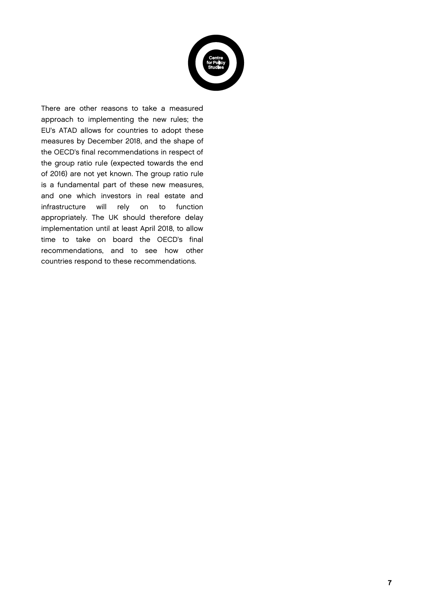

There are other reasons to take a measured approach to implementing the new rules; the EU's ATAD allows for countries to adopt these measures by December 2018, and the shape of the OECD's final recommendations in respect of the group ratio rule (expected towards the end of 2016) are not yet known. The group ratio rule is a fundamental part of these new measures, and one which investors in real estate and infrastructure will rely on to function appropriately. The UK should therefore delay implementation until at least April 2018, to allow time to take on board the OECD's final recommendations, and to see how other countries respond to these recommendations.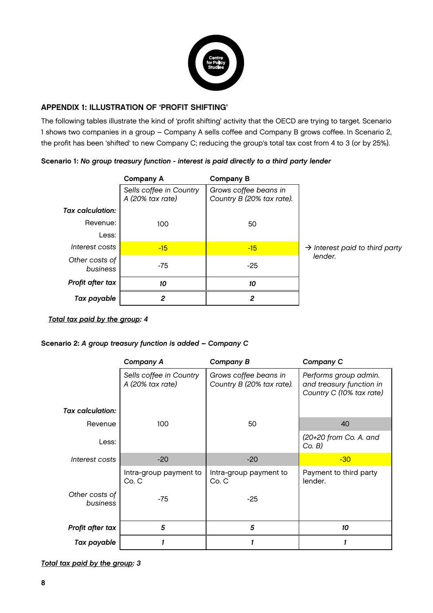

#### APPENDIX 1: ILLUSTRATION OF 'PROFIT SHIFTING'

The following tables illustrate the kind of 'profit shifting' activity that the OECD are trying to target. Scenario 1 shows two companies in a group – Company A sells coffee and Company B grows coffee. In Scenario 2, the profit has been 'shifted' to new Company C; reducing the group's total tax cost from 4 to 3 (or by 25%).

#### Scenario 1: No group treasury function - interest is paid directly to a third party lender

|                            | <b>Company A</b>                            | <b>Company B</b>                                   |                                            |
|----------------------------|---------------------------------------------|----------------------------------------------------|--------------------------------------------|
|                            | Sells coffee in Country<br>A (20% tax rate) | Grows coffee beans in<br>Country B (20% tax rate). |                                            |
| <b>Tax calculation:</b>    |                                             |                                                    |                                            |
| Revenue:                   | 100                                         | 50                                                 |                                            |
| Less:                      |                                             |                                                    |                                            |
| Interest costs             | $-15$                                       | $-15$                                              | $\rightarrow$ Interest paid to third party |
| Other costs of<br>business | $-75$                                       | $-25$                                              | lender.                                    |
| Profit after tax           | 10                                          | 10                                                 |                                            |
| Tax payable                | 2                                           | 2                                                  |                                            |

#### Total tax paid by the group: 4

#### Scenario 2: A group treasury function is added – Company C

|                            | <b>Company A</b>                            | <b>Company B</b>                                   | <b>Company C</b>                                                              |
|----------------------------|---------------------------------------------|----------------------------------------------------|-------------------------------------------------------------------------------|
| <b>Tax calculation:</b>    | Sells coffee in Country<br>A (20% tax rate) | Grows coffee beans in<br>Country B (20% tax rate). | Performs group admin.<br>and treasury function in<br>Country C (10% tax rate) |
|                            |                                             |                                                    |                                                                               |
| Revenue                    | 100                                         | 50                                                 | 40                                                                            |
| Less:                      |                                             |                                                    | (20+20 from Co. A. and<br>Co. B)                                              |
| Interest costs             | $-20$                                       | $-20$                                              | $-30$                                                                         |
|                            | Intra-group payment to<br>Co.C              | Intra-group payment to<br>Co.C                     | Payment to third party<br>lender.                                             |
| Other costs of<br>business | $-75$                                       | $-25$                                              |                                                                               |
| Profit after tax           | 5                                           | 5                                                  | 10                                                                            |
| Tax payable                |                                             |                                                    |                                                                               |

Total tax paid by the group: 3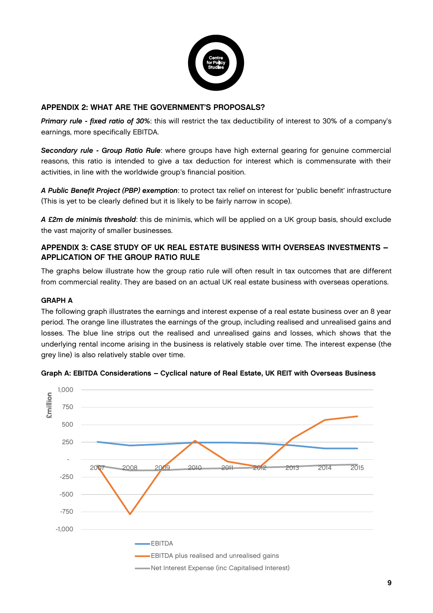

#### APPENDIX 2: WHAT ARE THE GOVERNMENT'S PROPOSALS?

Primary rule - fixed ratio of 30%: this will restrict the tax deductibility of interest to 30% of a company's earnings, more specifically EBITDA.

Secondary rule - Group Ratio Rule: where groups have high external gearing for genuine commercial reasons, this ratio is intended to give a tax deduction for interest which is commensurate with their activities, in line with the worldwide group's financial position.

A Public Benefit Project (PBP) exemption: to protect tax relief on interest for 'public benefit' infrastructure (This is yet to be clearly defined but it is likely to be fairly narrow in scope).

A £2m de minimis threshold: this de minimis, which will be applied on a UK group basis, should exclude the vast majority of smaller businesses.

#### APPENDIX 3: CASE STUDY OF UK REAL ESTATE BUSINESS WITH OVERSEAS INVESTMENTS – APPLICATION OF THE GROUP RATIO RULE

The graphs below illustrate how the group ratio rule will often result in tax outcomes that are different from commercial reality. They are based on an actual UK real estate business with overseas operations.

#### GRAPH A

The following graph illustrates the earnings and interest expense of a real estate business over an 8 year period. The orange line illustrates the earnings of the group, including realised and unrealised gains and losses. The blue line strips out the realised and unrealised gains and losses, which shows that the underlying rental income arising in the business is relatively stable over time. The interest expense (the grey line) is also relatively stable over time.



#### Graph A: EBITDA Considerations – Cyclical nature of Real Estate, UK REIT with Overseas Business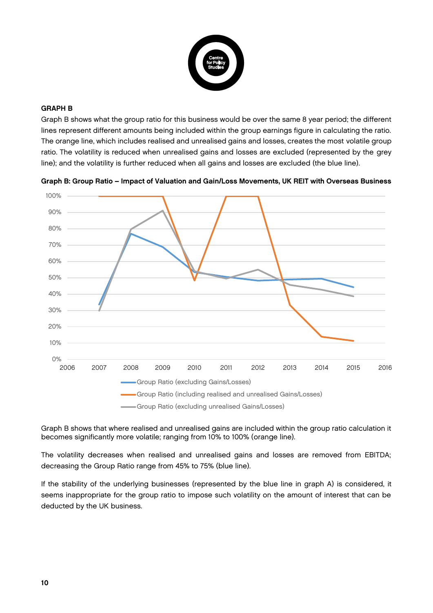

#### GRAPH B

Graph B shows what the group ratio for this business would be over the same 8 year period; the different lines represent different amounts being included within the group earnings figure in calculating the ratio. The orange line, which includes realised and unrealised gains and losses, creates the most volatile group ratio. The volatility is reduced when unrealised gains and losses are excluded (represented by the grey line); and the volatility is further reduced when all gains and losses are excluded (the blue line).



Graph B: Group Ratio – Impact of Valuation and Gain/Loss Movements, UK REIT with Overseas Business

Graph B shows that where realised and unrealised gains are included within the group ratio calculation it becomes significantly more volatile; ranging from 10% to 100% (orange line).

The volatility decreases when realised and unrealised gains and losses are removed from EBITDA; decreasing the Group Ratio range from 45% to 75% (blue line).

If the stability of the underlying businesses (represented by the blue line in graph A) is considered, it seems inappropriate for the group ratio to impose such volatility on the amount of interest that can be deducted by the UK business.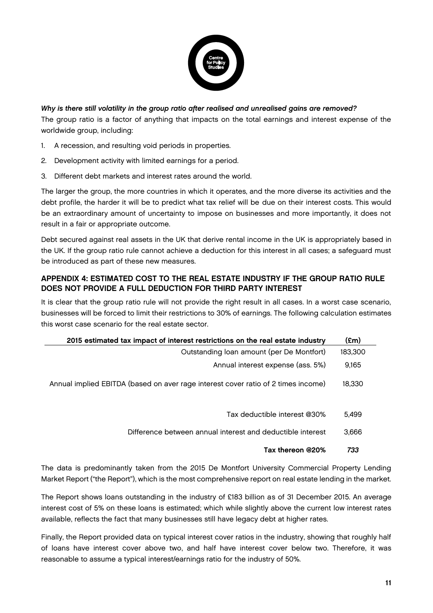

Why is there still volatility in the group ratio after realised and unrealised gains are removed? The group ratio is a factor of anything that impacts on the total earnings and interest expense of the worldwide group, including:

- 1. A recession, and resulting void periods in properties.
- 2. Development activity with limited earnings for a period.
- 3. Different debt markets and interest rates around the world.

The larger the group, the more countries in which it operates, and the more diverse its activities and the debt profile, the harder it will be to predict what tax relief will be due on their interest costs. This would be an extraordinary amount of uncertainty to impose on businesses and more importantly, it does not result in a fair or appropriate outcome.

Debt secured against real assets in the UK that derive rental income in the UK is appropriately based in the UK. If the group ratio rule cannot achieve a deduction for this interest in all cases; a safeguard must be introduced as part of these new measures.

#### APPENDIX 4: ESTIMATED COST TO THE REAL ESTATE INDUSTRY IF THE GROUP RATIO RULE DOES NOT PROVIDE A FULL DEDUCTION FOR THIRD PARTY INTEREST

It is clear that the group ratio rule will not provide the right result in all cases. In a worst case scenario, businesses will be forced to limit their restrictions to 30% of earnings. The following calculation estimates this worst case scenario for the real estate sector.

| 2015 estimated tax impact of interest restrictions on the real estate industry    |         |  |
|-----------------------------------------------------------------------------------|---------|--|
| Outstanding loan amount (per De Montfort)                                         | 183,300 |  |
| Annual interest expense (ass. 5%)                                                 | 9,165   |  |
| Annual implied EBITDA (based on aver rage interest cover ratio of 2 times income) | 18,330  |  |
| Tax deductible interest @30%                                                      | 5.499   |  |
| Difference between annual interest and deductible interest                        | 3,666   |  |
| Tax thereon @20%                                                                  | 733     |  |

The data is predominantly taken from the 2015 De Montfort University Commercial Property Lending Market Report ("the Report"), which is the most comprehensive report on real estate lending in the market.

The Report shows loans outstanding in the industry of £183 billion as of 31 December 2015. An average interest cost of 5% on these loans is estimated; which while slightly above the current low interest rates available, reflects the fact that many businesses still have legacy debt at higher rates.

Finally, the Report provided data on typical interest cover ratios in the industry, showing that roughly half of loans have interest cover above two, and half have interest cover below two. Therefore, it was reasonable to assume a typical interest/earnings ratio for the industry of 50%.